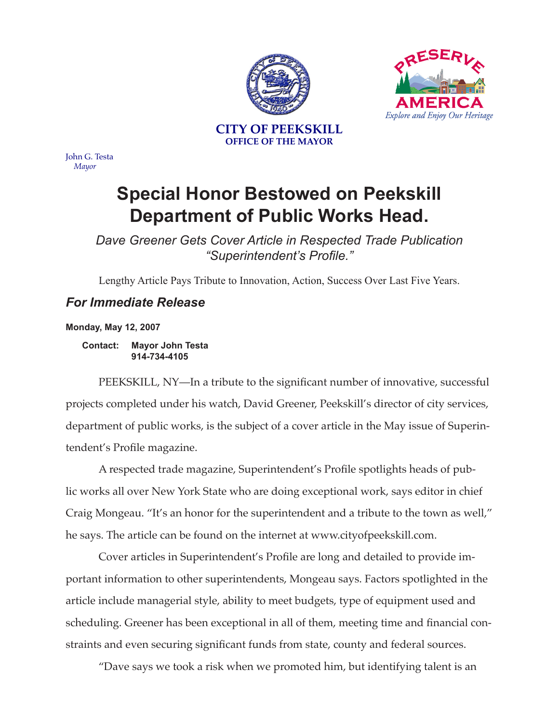



John G. Testa *Mayor*

## **Special Honor Bestowed on Peekskill Department of Public Works Head.**

*Dave Greener Gets Cover Article in Respected Trade Publication "Superintendent's Profile."*

Lengthy Article Pays Tribute to Innovation, Action, Success Over Last Five Years.

## *For Immediate Release*

**Monday, May 12, 2007**

**Contact: Mayor John Testa 914-734-4105**

PEEKSKILL, NY—In a tribute to the significant number of innovative, successful projects completed under his watch, David Greener, Peekskill's director of city services, department of public works, is the subject of a cover article in the May issue of Superintendent's Profile magazine.

A respected trade magazine, Superintendent's Profile spotlights heads of public works all over New York State who are doing exceptional work, says editor in chief Craig Mongeau. "It's an honor for the superintendent and a tribute to the town as well," he says. The article can be found on the internet at www.cityofpeekskill.com.

Cover articles in Superintendent's Profile are long and detailed to provide important information to other superintendents, Mongeau says. Factors spotlighted in the article include managerial style, ability to meet budgets, type of equipment used and scheduling. Greener has been exceptional in all of them, meeting time and financial constraints and even securing significant funds from state, county and federal sources.

"Dave says we took a risk when we promoted him, but identifying talent is an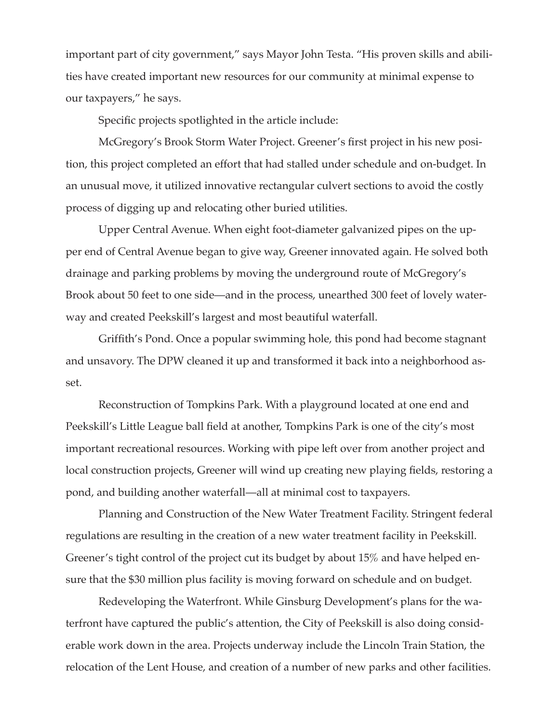important part of city government," says Mayor John Testa. "His proven skills and abilities have created important new resources for our community at minimal expense to our taxpayers," he says.

Specific projects spotlighted in the article include:

McGregory's Brook Storm Water Project. Greener's first project in his new position, this project completed an effort that had stalled under schedule and on-budget. In an unusual move, it utilized innovative rectangular culvert sections to avoid the costly process of digging up and relocating other buried utilities.

Upper Central Avenue. When eight foot-diameter galvanized pipes on the upper end of Central Avenue began to give way, Greener innovated again. He solved both drainage and parking problems by moving the underground route of McGregory's Brook about 50 feet to one side—and in the process, unearthed 300 feet of lovely waterway and created Peekskill's largest and most beautiful waterfall.

Griffith's Pond. Once a popular swimming hole, this pond had become stagnant and unsavory. The DPW cleaned it up and transformed it back into a neighborhood asset.

Reconstruction of Tompkins Park. With a playground located at one end and Peekskill's Little League ball field at another, Tompkins Park is one of the city's most important recreational resources. Working with pipe left over from another project and local construction projects, Greener will wind up creating new playing fields, restoring a pond, and building another waterfall—all at minimal cost to taxpayers.

Planning and Construction of the New Water Treatment Facility. Stringent federal regulations are resulting in the creation of a new water treatment facility in Peekskill. Greener's tight control of the project cut its budget by about 15% and have helped ensure that the \$30 million plus facility is moving forward on schedule and on budget.

Redeveloping the Waterfront. While Ginsburg Development's plans for the waterfront have captured the public's attention, the City of Peekskill is also doing considerable work down in the area. Projects underway include the Lincoln Train Station, the relocation of the Lent House, and creation of a number of new parks and other facilities.